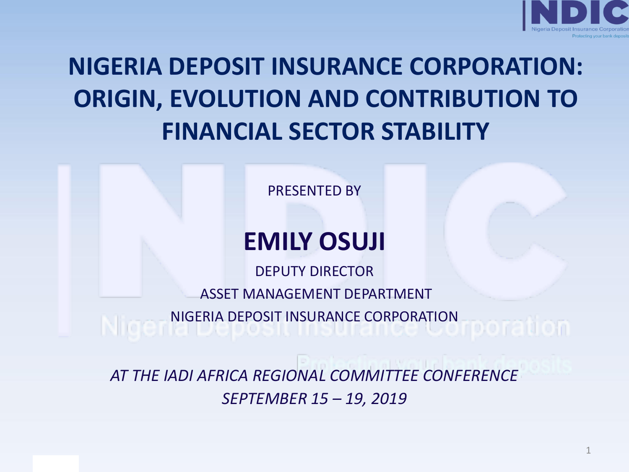

### **NIGERIA DEPOSIT INSURANCE CORPORATION: ORIGIN, EVOLUTION AND CONTRIBUTION TO FINANCIAL SECTOR STABILITY**

PRESENTED BY

### **EMILY OSUJI**

DEPUTY DIRECTOR ASSET MANAGEMENT DEPARTMENT NIGERIA DEPOSIT INSURANCE CORPORATION

*AT THE IADI AFRICA REGIONAL COMMITTEE CONFERENCE SEPTEMBER 15 – 19, 2019*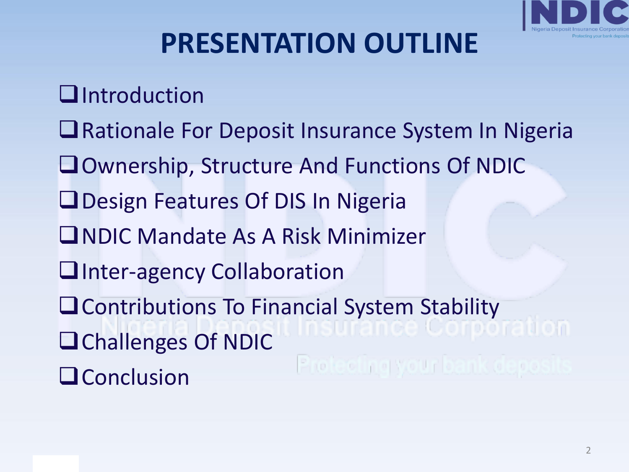

### **PRESENTATION OUTLINE**

- ❑Introduction
- ❑Rationale For Deposit Insurance System In Nigeria
- ❑Ownership, Structure And Functions Of NDIC
- ❑Design Features Of DIS In Nigeria
- ❑NDIC Mandate As A Risk Minimizer
- □Inter-agency Collaboration
- ❑Contributions To Financial System Stability
- ❑Challenges Of NDIC
- ❑Conclusion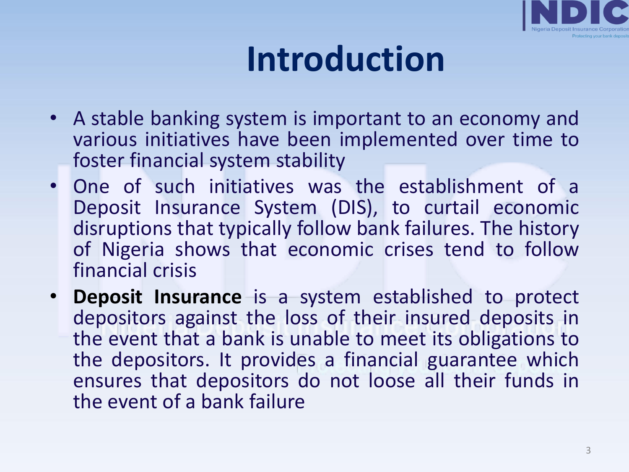

# **Introduction**

- A stable banking system is important to an economy and various initiatives have been implemented over time to foster financial system stability
- One of such initiatives was the establishment of a Deposit Insurance System (DIS), to curtail economic disruptions that typically follow bank failures. The history of Nigeria shows that economic crises tend to follow financial crisis
- **Deposit Insurance** is a system established to protect depositors against the loss of their insured deposits in the event that a bank is unable to meet its obligations to the depositors. It provides a financial guarantee which ensures that depositors do not loose all their funds in the event of a bank failure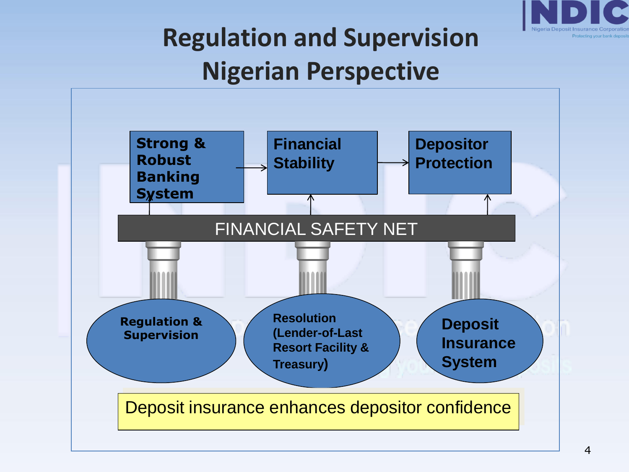

### **Regulation and Supervision Nigerian Perspective**

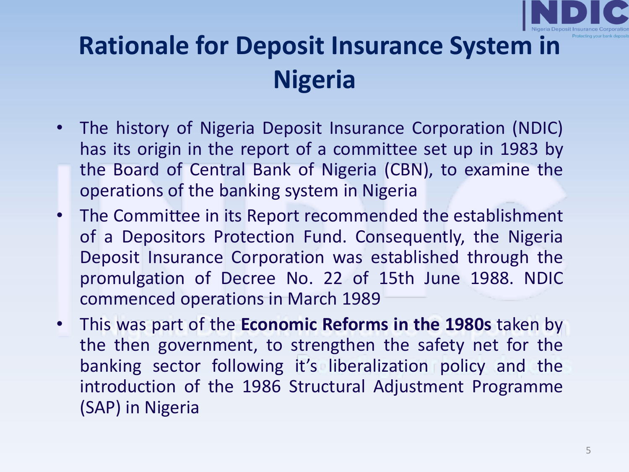

### **Rationale for Deposit Insurance System in Nigeria**

- The history of Nigeria Deposit Insurance Corporation (NDIC) has its origin in the report of a committee set up in 1983 by the Board of Central Bank of Nigeria (CBN), to examine the operations of the banking system in Nigeria
- The Committee in its Report recommended the establishment of a Depositors Protection Fund. Consequently, the Nigeria Deposit Insurance Corporation was established through the promulgation of Decree No. 22 of 15th June 1988. NDIC commenced operations in March 1989
- This was part of the **Economic Reforms in the 1980s** taken by the then government, to strengthen the safety net for the banking sector following it's liberalization policy and the introduction of the 1986 Structural Adjustment Programme (SAP) in Nigeria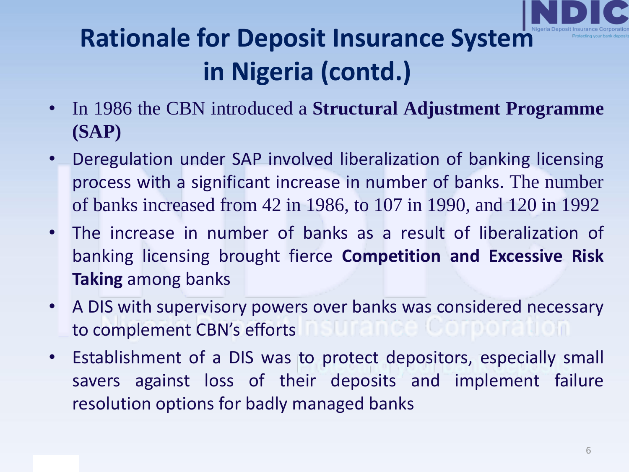

### **Rationale for Deposit Insurance System in Nigeria (contd.)**

- In 1986 the CBN introduced a **Structural Adjustment Programme (SAP)**
- Deregulation under SAP involved liberalization of banking licensing process with a significant increase in number of banks. The number of banks increased from 42 in 1986, to 107 in 1990, and 120 in 1992
- The increase in number of banks as a result of liberalization of banking licensing brought fierce **Competition and Excessive Risk Taking** among banks
- A DIS with supervisory powers over banks was considered necessary to complement CBN's efforts
- Establishment of a DIS was to protect depositors, especially small savers against loss of their deposits and implement failure resolution options for badly managed banks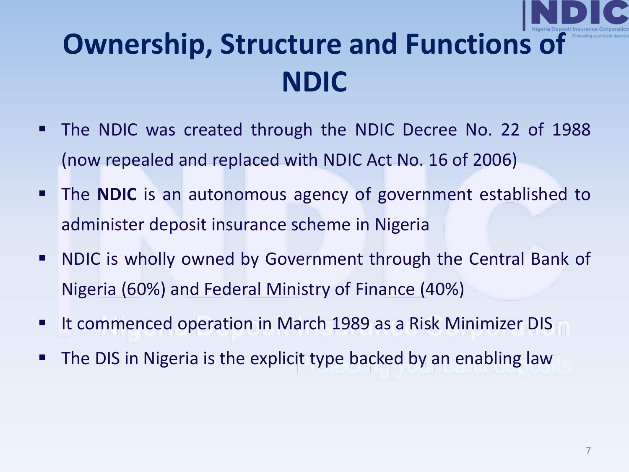

### **Ownership, Structure and Functions of NDIC**

- The NDIC was created through the NDIC Decree No. 22 of 1988 (now repealed and replaced with NDIC Act No. 16 of 2006)
- The **NDIC** is an autonomous agency of government established to administer deposit insurance scheme in Nigeria
- NDIC is wholly owned by Government through the Central Bank of Nigeria (60%) and Federal Ministry of Finance (40%)
- It commenced operation in March 1989 as a Risk Minimizer DIS
- **The DIS in Nigeria is the explicit type backed by an enabling law**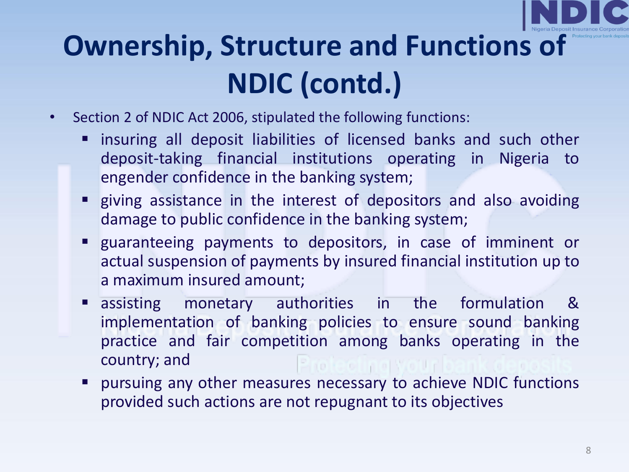

# **Ownership, Structure and Functions of NDIC (contd.)**

- Section 2 of NDIC Act 2006, stipulated the following functions:
	- insuring all deposit liabilities of licensed banks and such other deposit-taking financial institutions operating in Nigeria to engender confidence in the banking system;
	- **E** giving assistance in the interest of depositors and also avoiding damage to public confidence in the banking system;
	- guaranteeing payments to depositors, in case of imminent or actual suspension of payments by insured financial institution up to a maximum insured amount;
	- assisting monetary authorities in the formulation & implementation of banking policies to ensure sound banking practice and fair competition among banks operating in the country; and
	- pursuing any other measures necessary to achieve NDIC functions provided such actions are not repugnant to its objectives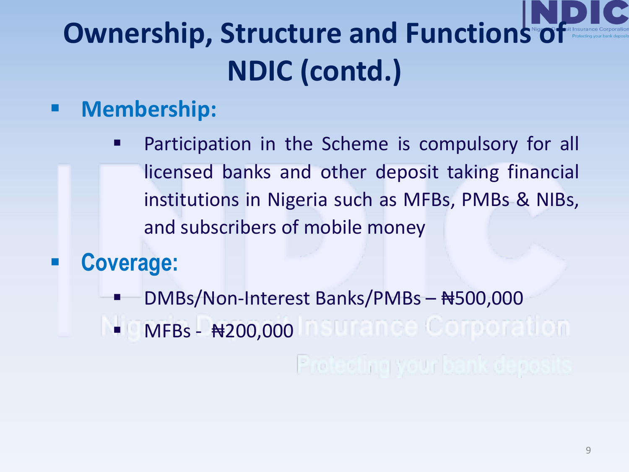# **Ownership, Structure and Functions of NDIC (contd.)**

#### ▪ **Membership:**

**•** Participation in the Scheme is compulsory for all licensed banks and other deposit taking financial institutions in Nigeria such as MFBs, PMBs & NIBs, and subscribers of mobile money

### ▪ **Coverage:**

- DMBs/Non-Interest Banks/PMBs ₦500,000
- $\blacksquare$  MFBs  $\#200,000$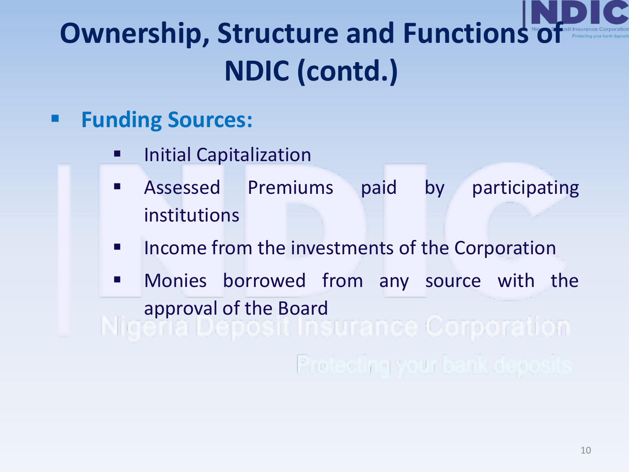# **Ownership, Structure and Functions of NDIC (contd.)**

#### ▪ **Funding Sources:**

- Initial Capitalization
- **EXPENSISE Assessed Premiums paid by participating** institutions
- Income from the investments of the Corporation
- **E** Monies borrowed from any source with the approval of the Board<br>
and a probably contract to the Contract of Donald On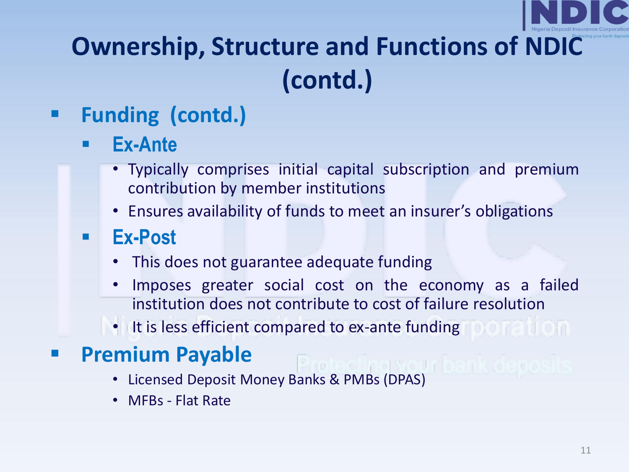

### **Ownership, Structure and Functions of NDIC (contd.)**

### ▪ **Funding (contd.)**

- **Ex-Ante** 
	- Typically comprises initial capital subscription and premium contribution by member institutions
	- Ensures availability of funds to meet an insurer's obligations

#### ▪ **Ex-Post**

- This does not guarantee adequate funding
- Imposes greater social cost on the economy as a failed institution does not contribute to cost of failure resolution
- It is less efficient compared to ex-ante funding

#### ▪ **Premium Payable**

- Licensed Deposit Money Banks & PMBs (DPAS)
- MFBs Flat Rate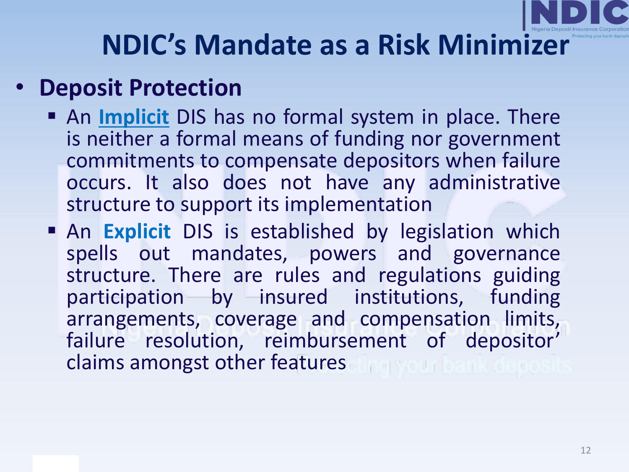

### **NDIC's Mandate as a Risk Minimizer**

### • **Deposit Protection**

- An *Implicit* DIS has no formal system in place. There is neither a formal means of funding nor government commitments to compensate depositors when failure occurs. It also does not have any administrative structure to support its implementation
- **An Explicit** DIS is established by legislation which spells out mandates, powers and governance structure. There are rules and regulations guiding participation by insured institutions, funding arrangements, coverage and compensation limits, failure resolution, reimbursement of depositor' claims amongst other features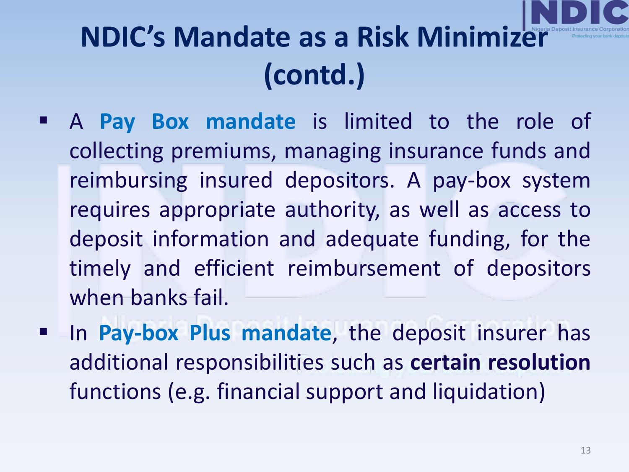- A **Pay Box mandate** is limited to the role of collecting premiums, managing insurance funds and reimbursing insured depositors. A pay-box system requires appropriate authority, as well as access to deposit information and adequate funding, for the timely and efficient reimbursement of depositors when banks fail.
- In **Pay-box Plus mandate**, the deposit insurer has additional responsibilities such as **certain resolution** functions (e.g. financial support and liquidation)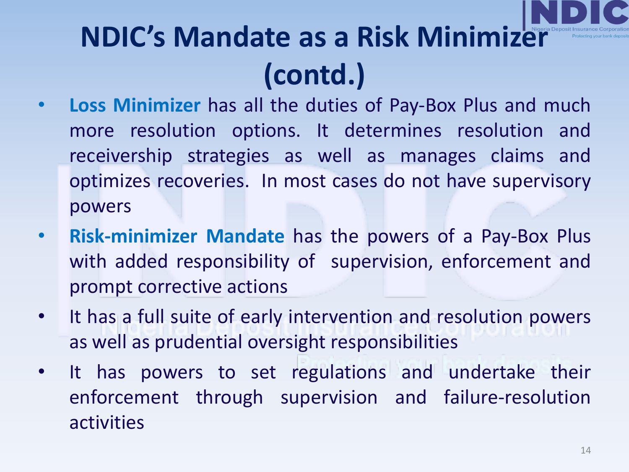- **Loss Minimizer** has all the duties of Pay-Box Plus and much more resolution options. It determines resolution and receivership strategies as well as manages claims and optimizes recoveries. In most cases do not have supervisory powers
- **Risk-minimizer Mandate** has the powers of a Pay-Box Plus with added responsibility of supervision, enforcement and prompt corrective actions
- It has a full suite of early intervention and resolution powers as well as prudential oversight responsibilities
- It has powers to set regulations and undertake their enforcement through supervision and failure-resolution activities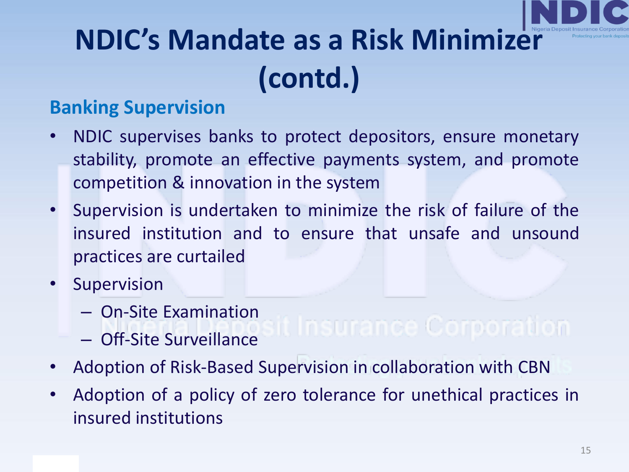

#### **Banking Supervision**

- NDIC supervises banks to protect depositors, ensure monetary stability, promote an effective payments system, and promote competition & innovation in the system
- Supervision is undertaken to minimize the risk of failure of the insured institution and to ensure that unsafe and unsound practices are curtailed
- **Supervision** 
	- On-Site Examination
	- Off-Site Surveillance
- Adoption of Risk-Based Supervision in collaboration with CBN
- Adoption of a policy of zero tolerance for unethical practices in insured institutions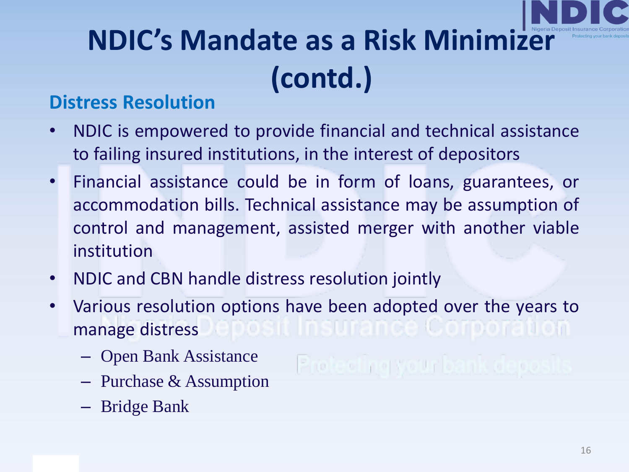

#### **Distress Resolution**

- NDIC is empowered to provide financial and technical assistance to failing insured institutions, in the interest of depositors
- Financial assistance could be in form of loans, guarantees, or accommodation bills. Technical assistance may be assumption of control and management, assisted merger with another viable institution
- NDIC and CBN handle distress resolution jointly
- Various resolution options have been adopted over the years to manage distress
	- Open Bank Assistance
	- Purchase & Assumption
	- Bridge Bank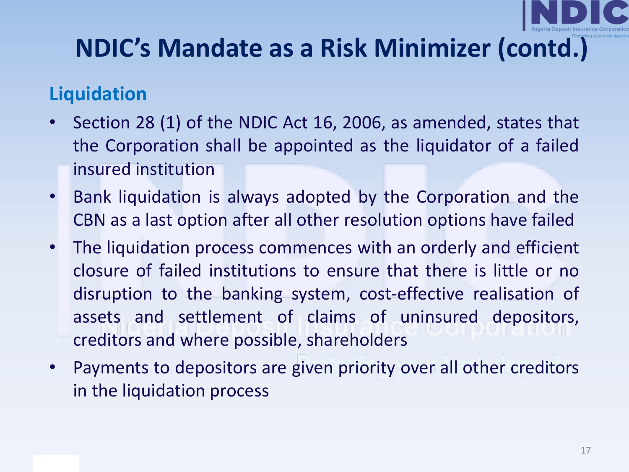#### **Liquidation**

- Section 28 (1) of the NDIC Act 16, 2006, as amended, states that the Corporation shall be appointed as the liquidator of a failed insured institution
- Bank liquidation is always adopted by the Corporation and the CBN as a last option after all other resolution options have failed
- The liquidation process commences with an orderly and efficient closure of failed institutions to ensure that there is little or no disruption to the banking system, cost-effective realisation of assets and settlement of claims of uninsured depositors, creditors and where possible, shareholders
- Payments to depositors are given priority over all other creditors in the liquidation process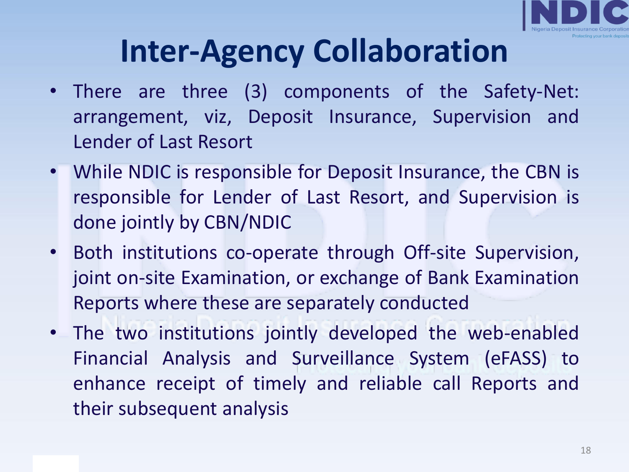

# **Inter-Agency Collaboration**

- There are three (3) components of the Safety-Net: arrangement, viz, Deposit Insurance, Supervision and Lender of Last Resort
- While NDIC is responsible for Deposit Insurance, the CBN is responsible for Lender of Last Resort, and Supervision is done jointly by CBN/NDIC
- Both institutions co-operate through Off-site Supervision, joint on-site Examination, or exchange of Bank Examination Reports where these are separately conducted
- The two institutions jointly developed the web-enabled Financial Analysis and Surveillance System (eFASS) to enhance receipt of timely and reliable call Reports and their subsequent analysis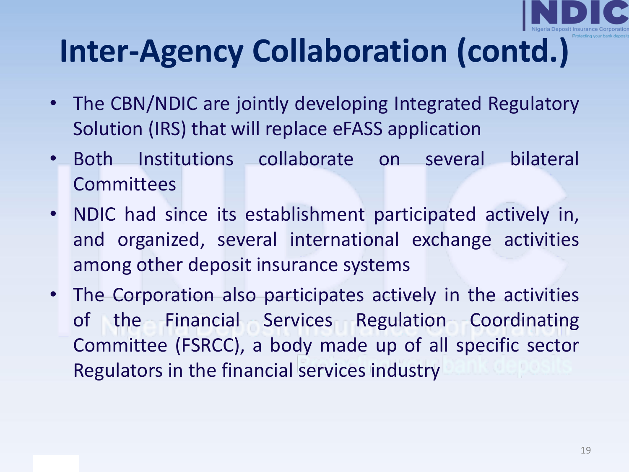

# **Inter-Agency Collaboration (contd.)**

- The CBN/NDIC are jointly developing Integrated Regulatory Solution (IRS) that will replace eFASS application
- Both Institutions collaborate on several bilateral **Committees**
- NDIC had since its establishment participated actively in, and organized, several international exchange activities among other deposit insurance systems
- The Corporation also participates actively in the activities of the Financial Services Regulation Coordinating Committee (FSRCC), a body made up of all specific sector Regulators in the financial services industry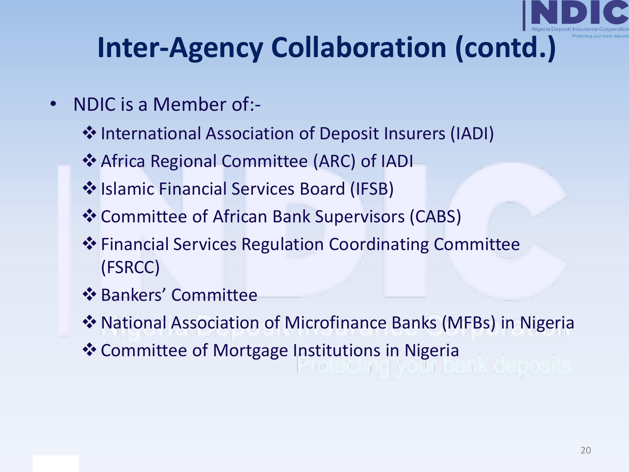### **Inter-Agency Collaboration (contd.)**

- NDIC is a Member of:-
	- ❖International Association of Deposit Insurers (IADI)
	- ❖Africa Regional Committee (ARC) of IADI
	- ❖Islamic Financial Services Board (IFSB)
	- ❖Committee of African Bank Supervisors (CABS)
	- ❖Financial Services Regulation Coordinating Committee (FSRCC)
	- ❖Bankers' Committee
	- ❖National Association of Microfinance Banks (MFBs) in Nigeria
	- ❖Committee of Mortgage Institutions in Nigeria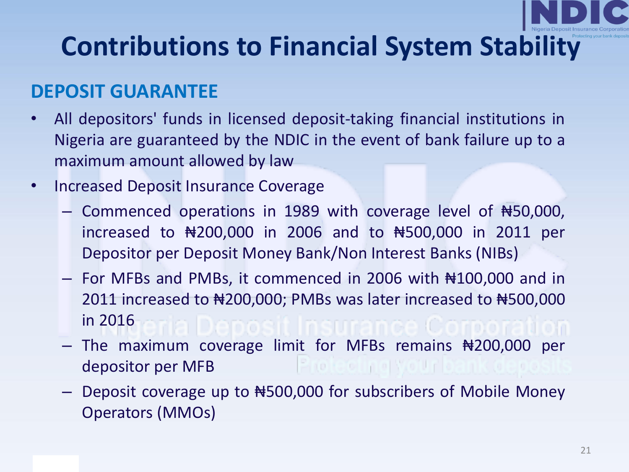#### **DEPOSIT GUARANTEE**

- All depositors' funds in licensed deposit-taking financial institutions in Nigeria are guaranteed by the NDIC in the event of bank failure up to a maximum amount allowed by law
- Increased Deposit Insurance Coverage
	- Commenced operations in 1989 with coverage level of ₦50,000, increased to ₦200,000 in 2006 and to ₦500,000 in 2011 per Depositor per Deposit Money Bank/Non Interest Banks (NIBs)
	- For MFBs and PMBs, it commenced in 2006 with ₦100,000 and in 2011 increased to ₦200,000; PMBs was later increased to ₦500,000 in 2016
	- $-$  The maximum coverage limit for MFBs remains  $\#200,000$  per depositor per MFB
	- Deposit coverage up to ₦500,000 for subscribers of Mobile Money Operators (MMOs)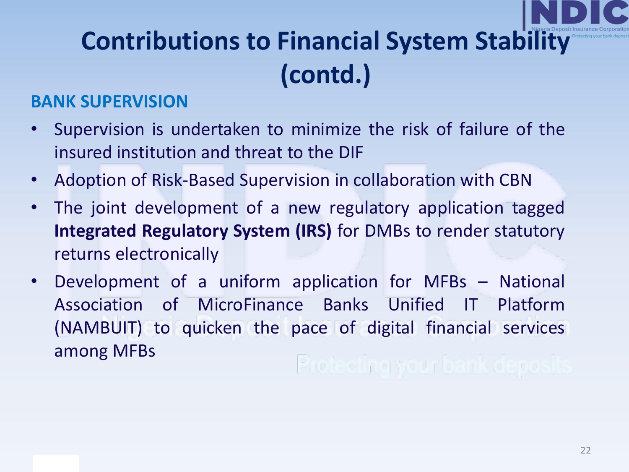#### **BANK SUPERVISION**

- Supervision is undertaken to minimize the risk of failure of the insured institution and threat to the DIF
- Adoption of Risk-Based Supervision in collaboration with CBN
- The joint development of a new regulatory application tagged **Integrated Regulatory System (IRS)** for DMBs to render statutory returns electronically
- Development of a uniform application for MFBs National Association of MicroFinance Banks Unified IT Platform (NAMBUIT) to quicken the pace of digital financial services among MFBs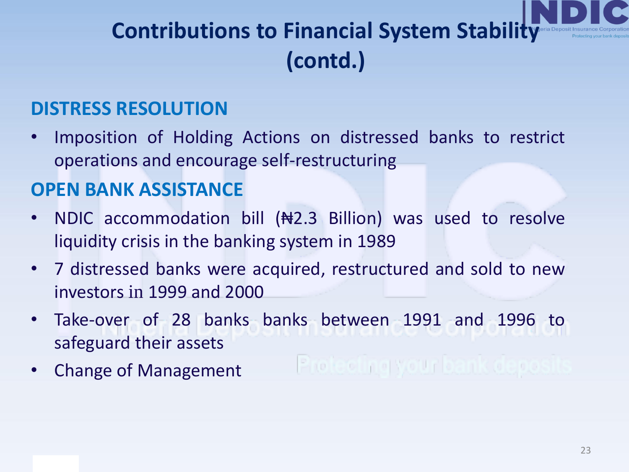#### **DISTRESS RESOLUTION**

• Imposition of Holding Actions on distressed banks to restrict operations and encourage self-restructuring

#### **OPEN BANK ASSISTANCE**

- NDIC accommodation bill (#2.3 Billion) was used to resolve liquidity crisis in the banking system in 1989
- 7 distressed banks were acquired, restructured and sold to new investors in 1999 and 2000
- Take-over of 28 banks banks between 1991 and 1996 to safeguard their assets
- Change of Management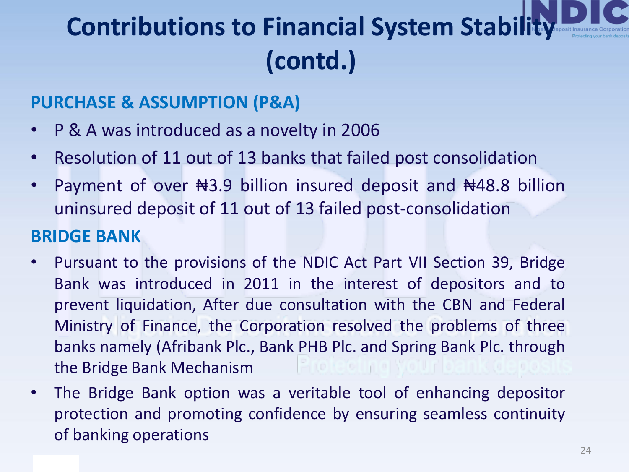#### **PURCHASE & ASSUMPTION (P&A)**

- P & A was introduced as a novelty in 2006
- Resolution of 11 out of 13 banks that failed post consolidation
- Payment of over Nota Billion insured deposit and Nota 8 billion uninsured deposit of 11 out of 13 failed post-consolidation

#### **BRIDGE BANK**

- Pursuant to the provisions of the NDIC Act Part VII Section 39, Bridge Bank was introduced in 2011 in the interest of depositors and to prevent liquidation, After due consultation with the CBN and Federal Ministry of Finance, the Corporation resolved the problems of three banks namely (Afribank Plc., Bank PHB Plc. and Spring Bank Plc. through the Bridge Bank Mechanism
- The Bridge Bank option was a veritable tool of enhancing depositor protection and promoting confidence by ensuring seamless continuity of banking operations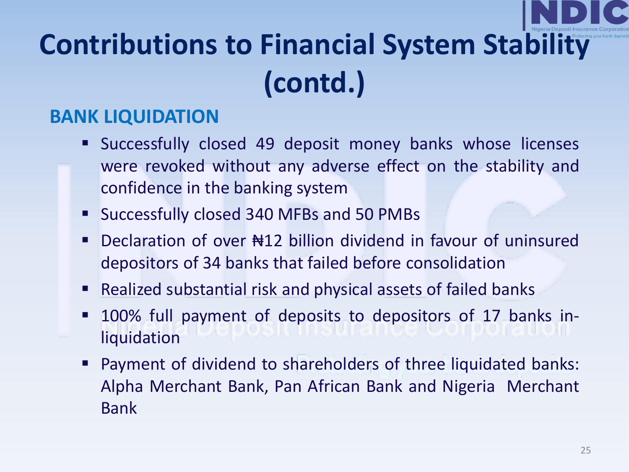#### **BANK LIQUIDATION**

- Successfully closed 49 deposit money banks whose licenses were revoked without any adverse effect on the stability and confidence in the banking system
- Successfully closed 340 MFBs and 50 PMBs
- Declaration of over Notal billion dividend in favour of uninsured depositors of 34 banks that failed before consolidation
- Realized substantial risk and physical assets of failed banks
- 100% full payment of deposits to depositors of 17 banks inliquidation
- Payment of dividend to shareholders of three liquidated banks: Alpha Merchant Bank, Pan African Bank and Nigeria Merchant Bank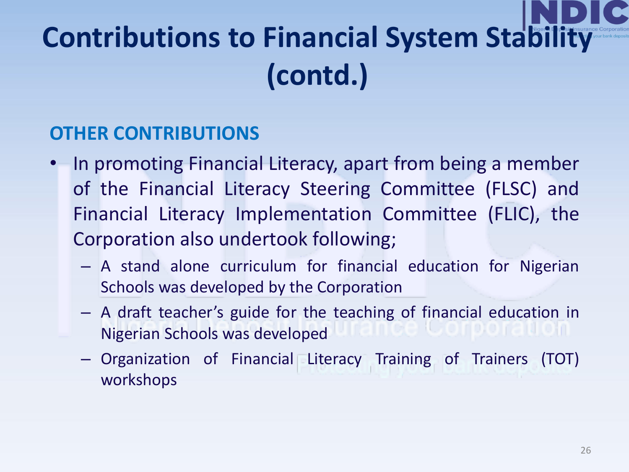#### **OTHER CONTRIBUTIONS**

- In promoting Financial Literacy, apart from being a member of the Financial Literacy Steering Committee (FLSC) and Financial Literacy Implementation Committee (FLIC), the Corporation also undertook following;
	- A stand alone curriculum for financial education for Nigerian Schools was developed by the Corporation
	- A draft teacher's guide for the teaching of financial education in Nigerian Schools was developed
	- Organization of Financial Literacy Training of Trainers (TOT) workshops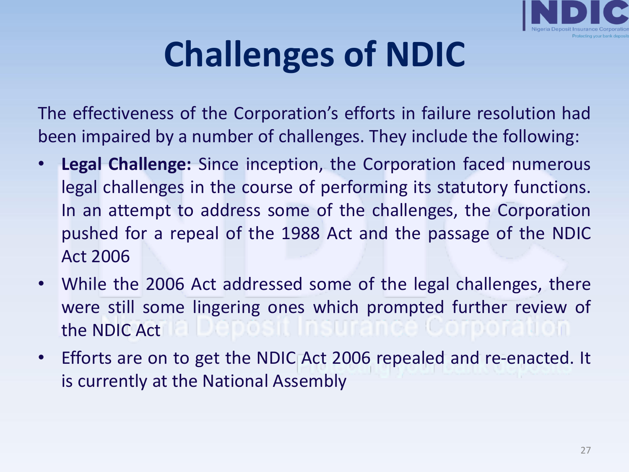

# **Challenges of NDIC**

The effectiveness of the Corporation's efforts in failure resolution had been impaired by a number of challenges. They include the following:

- **Legal Challenge:** Since inception, the Corporation faced numerous legal challenges in the course of performing its statutory functions. In an attempt to address some of the challenges, the Corporation pushed for a repeal of the 1988 Act and the passage of the NDIC Act 2006
- While the 2006 Act addressed some of the legal challenges, there were still some lingering ones which prompted further review of the NDIC Act
- Efforts are on to get the NDIC Act 2006 repealed and re-enacted. It is currently at the National Assembly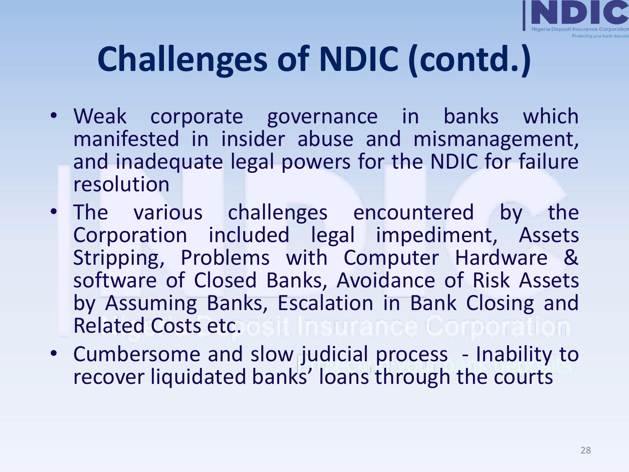

- Weak corporate governance in banks which manifested in insider abuse and mismanagement, and inadequate legal powers for the NDIC for failure resolution
- The various challenges encountered by the Corporation included legal impediment, Assets Stripping, Problems with Computer Hardware & software of Closed Banks, Avoidance of Risk Assets by Assuming Banks, Escalation in Bank Closing and Related Costs etc.
- Cumbersome and slow judicial process Inability to recover liquidated banks' loans through the courts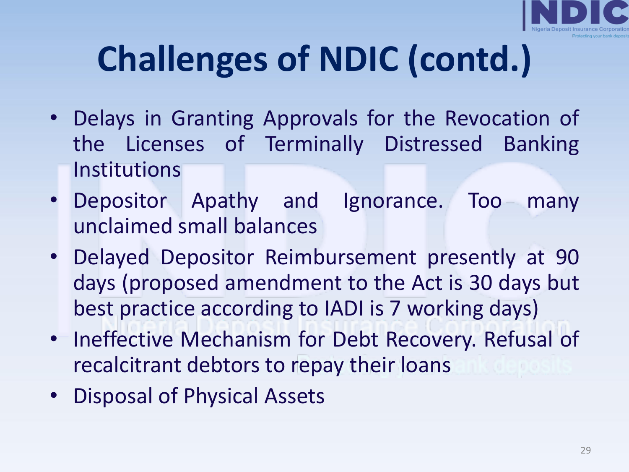

- Delays in Granting Approvals for the Revocation of the Licenses of Terminally Distressed Banking Institutions
- Depositor Apathy and Ignorance. Too many unclaimed small balances
- Delayed Depositor Reimbursement presently at 90 days (proposed amendment to the Act is 30 days but best practice according to IADI is 7 working days)
- Ineffective Mechanism for Debt Recovery. Refusal of recalcitrant debtors to repay their loans
- Disposal of Physical Assets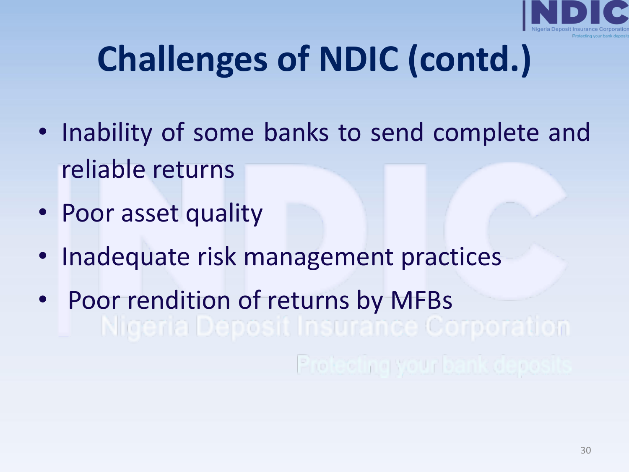

- Inability of some banks to send complete and reliable returns
- Poor asset quality
- Inadequate risk management practices
- Poor rendition of returns by MFBs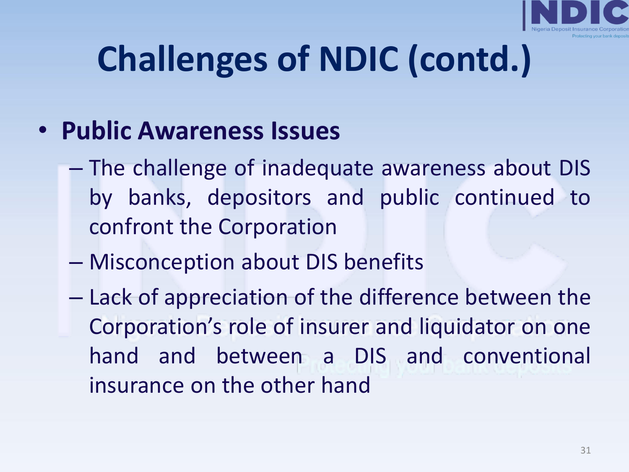

### • **Public Awareness Issues**

- The challenge of inadequate awareness about DIS by banks, depositors and public continued to confront the Corporation
- Misconception about DIS benefits
- Lack of appreciation of the difference between the Corporation's role of insurer and liquidator on one hand and between a DIS and conventional insurance on the other hand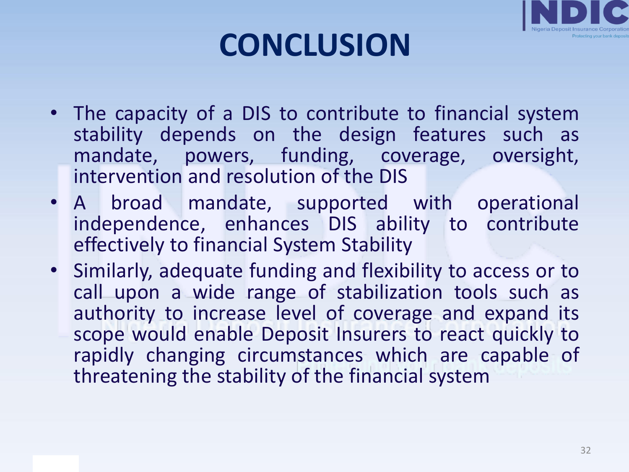

# **CONCLUSION**

- The capacity of a DIS to contribute to financial system stability depends on the design features such as mandate, powers, funding, coverage, oversight, intervention and resolution of the DIS
- A broad mandate, supported with operational independence, enhances DIS ability to contribute effectively to financial System Stability
- Similarly, adequate funding and flexibility to access or to call upon a wide range of stabilization tools such as authority to increase level of coverage and expand its scope would enable Deposit Insurers to react quickly to rapidly changing circumstances which are capable of threatening the stability of the financial system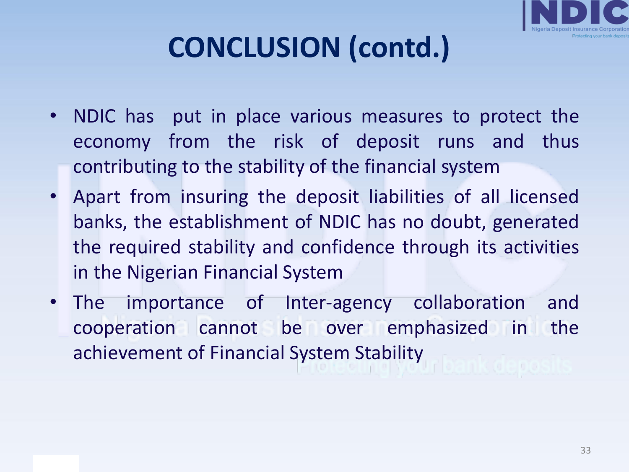

# **CONCLUSION (contd.)**

- NDIC has put in place various measures to protect the economy from the risk of deposit runs and thus contributing to the stability of the financial system
- Apart from insuring the deposit liabilities of all licensed banks, the establishment of NDIC has no doubt, generated the required stability and confidence through its activities in the Nigerian Financial System
- The importance of Inter-agency collaboration and cooperation cannot be over emphasized in the achievement of Financial System Stability